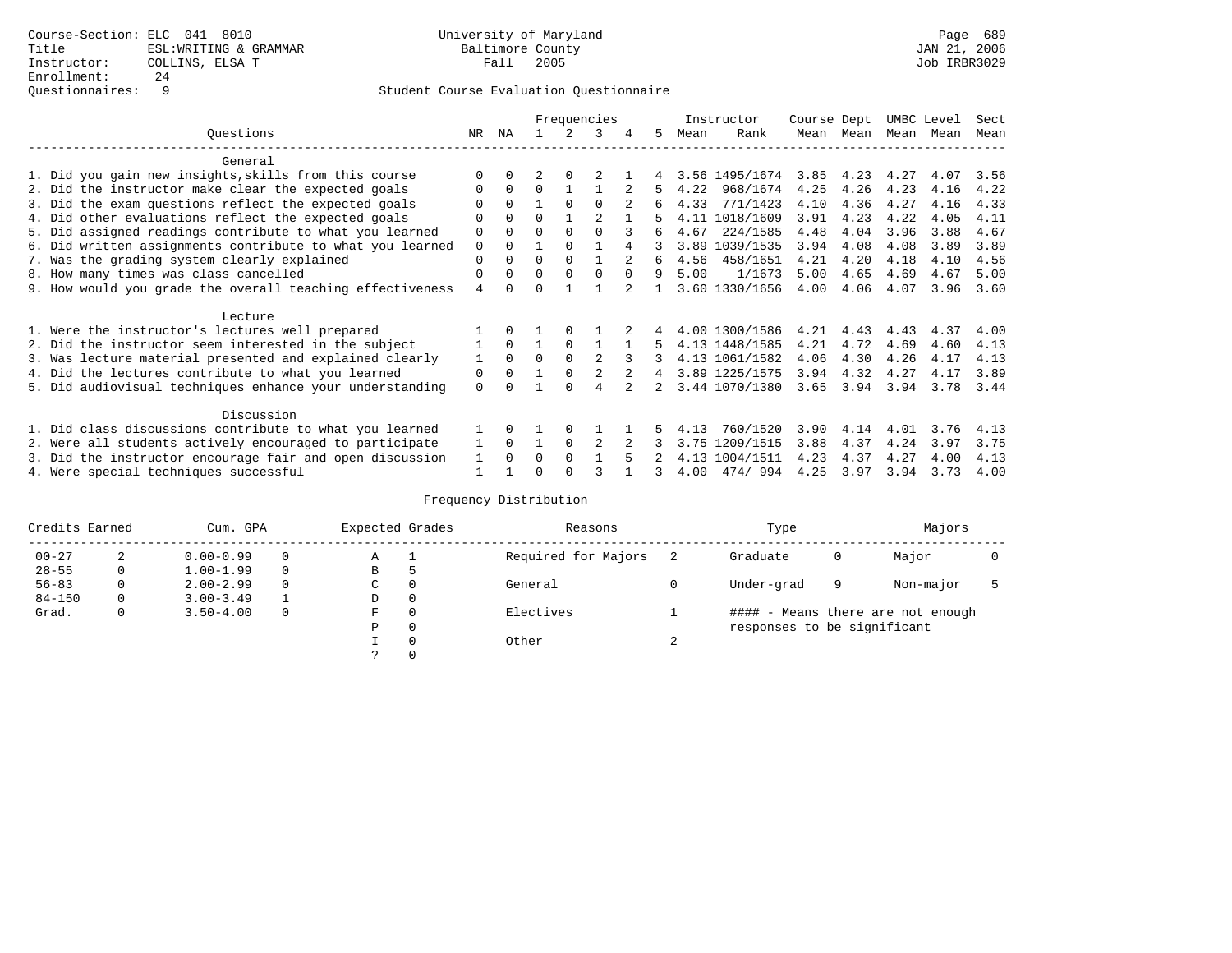|                                                          |                                                           |          |          | Frequencies |          |                |   | Instructor |      | Course Dept    |      |           | UMBC Level | Sect      |      |
|----------------------------------------------------------|-----------------------------------------------------------|----------|----------|-------------|----------|----------------|---|------------|------|----------------|------|-----------|------------|-----------|------|
|                                                          | Ouestions                                                 | NR       | ΝA       |             |          |                | 4 | 5.         | Mean | Rank           |      | Mean Mean |            | Mean Mean | Mean |
|                                                          | General                                                   |          |          |             |          |                |   |            |      |                |      |           |            |           |      |
|                                                          | 1. Did you gain new insights, skills from this course     |          |          |             |          |                |   |            |      | 3.56 1495/1674 | 3.85 | 4.23      | 4.27       | 4.07      | 3.56 |
|                                                          | 2. Did the instructor make clear the expected goals       |          | $\Omega$ | $\Omega$    |          |                |   |            | 4.22 | 968/1674       | 4.25 | 4.26      | 4.23       | 4.16      | 4.22 |
|                                                          | 3. Did the exam questions reflect the expected goals      |          | $\Omega$ |             | $\Omega$ | <sup>0</sup>   |   | 6          | 4.33 | 771/1423       | 4.10 | 4.36      | 4.27       | 4.16      | 4.33 |
|                                                          | 4. Did other evaluations reflect the expected goals       |          | $\Omega$ | U           |          |                |   |            | 4.11 | 1018/1609      | 3.91 | 4.23      | 4.22       | 4.05      | 4.11 |
|                                                          | 5. Did assigned readings contribute to what you learned   | 0        | $\Omega$ | O           | $\Omega$ | $\Omega$       |   | 6          | 4.67 | 224/1585       | 4.48 | 4.04      | 3.96       | 3.88      | 4.67 |
|                                                          | 6. Did written assignments contribute to what you learned | 0        | $\Omega$ |             | $\Omega$ |                |   |            | 3.89 | 1039/1535      | 3.94 | 4.08      | 4.08       | 3.89      | 3.89 |
|                                                          | 7. Was the grading system clearly explained               | 0        | $\Omega$ | O           | $\Omega$ |                |   | 6          | 4.56 | 458/1651       | 4.21 | 4.20      | 4.18       | 4.10      | 4.56 |
|                                                          | 8. How many times was class cancelled                     | 0        | $\Omega$ | 0           | $\Omega$ |                |   | 9          | 5.00 | 1/1673         | 5.00 | 4.65      | 4.69       | 4.67      | 5.00 |
|                                                          | 9. How would you grade the overall teaching effectiveness | 4        |          |             |          |                |   |            |      | 3.60 1330/1656 | 4.00 | 4.06      | 4.07       | 3.96      | 3.60 |
|                                                          | Lecture                                                   |          |          |             |          |                |   |            |      |                |      |           |            |           |      |
|                                                          | 1. Were the instructor's lectures well prepared           |          |          |             |          |                |   |            |      | 4.00 1300/1586 | 4.21 | 4.43      | 4.43       | 4.37      | 4.00 |
|                                                          | 2. Did the instructor seem interested in the subject      |          | $\Omega$ |             | $\Omega$ |                |   |            |      | 4.13 1448/1585 | 4.21 | 4.72      | 4.69       | 4.60      | 4.13 |
|                                                          | 3. Was lecture material presented and explained clearly   | 1        | $\Omega$ | $\Omega$    | $\Omega$ | $\mathfrak{D}$ |   |            |      | 4.13 1061/1582 | 4.06 | 4.30      | 4.26       | 4.17      | 4.13 |
|                                                          | 4. Did the lectures contribute to what you learned        | 0        | $\Omega$ |             | $\Omega$ |                |   | 4          |      | 3.89 1225/1575 | 3.94 | 4.32      | 4.27       | 4.17      | 3.89 |
|                                                          | 5. Did audiovisual techniques enhance your understanding  | $\Omega$ |          |             |          | 4              |   |            |      | 3.44 1070/1380 | 3.65 | 3.94      | 3.94       | 3.78      | 3.44 |
|                                                          |                                                           |          |          |             |          |                |   |            |      |                |      |           |            |           |      |
|                                                          | Discussion                                                |          |          |             |          |                |   |            |      |                |      |           |            |           |      |
|                                                          | 1. Did class discussions contribute to what you learned   |          |          |             | $\Omega$ |                |   |            | 4.13 | 760/1520       | 3.90 | 4.14      | 4.01       | 3.76      | 4.13 |
|                                                          | 2. Were all students actively encouraged to participate   |          | $\Omega$ |             | $\Omega$ |                |   |            | 3.75 | 1209/1515      | 3.88 | 4.37      | 4.24       | 3.97      | 3.75 |
| 3. Did the instructor encourage fair and open discussion |                                                           |          |          | O           | $\Omega$ |                |   |            | 4.13 | 1004/1511      | 4.23 | 4.37      | 4.27       | 4.00      | 4.13 |
|                                                          | 4. Were special techniques successful                     |          |          |             |          |                |   |            | 4.00 | 474/994        | 4.25 | 3.97      | 3.94       | 3.73      | 4.00 |

| Credits Earned | Cum. GPA    |               |  | Expected Grades |          | Reasons             |        | Type                        |   | Majors                            |  |
|----------------|-------------|---------------|--|-----------------|----------|---------------------|--------|-----------------------------|---|-----------------------------------|--|
| $00 - 27$      | 2           | $0.00 - 0.99$ |  | Α               |          | Required for Majors |        | Graduate                    | 0 | Major                             |  |
| $28 - 55$      | $\mathbf 0$ | $1.00 - 1.99$ |  | В               | כ        |                     |        |                             |   |                                   |  |
| $56 - 83$      | 0           | $2.00 - 2.99$ |  | $\sim$<br>◡     | 0        | General             |        | Under-grad                  | 9 | Non-major                         |  |
| $84 - 150$     | 0           | $3.00 - 3.49$ |  | D               | 0        |                     |        |                             |   |                                   |  |
| Grad.          | 0           | $3.50 - 4.00$ |  | F               | 0        | Electives           |        |                             |   | #### - Means there are not enough |  |
|                |             |               |  | Ρ               | 0        |                     |        | responses to be significant |   |                                   |  |
|                |             |               |  |                 | $\Omega$ | Other               | $\sim$ |                             |   |                                   |  |
|                |             |               |  | C.              |          |                     |        |                             |   |                                   |  |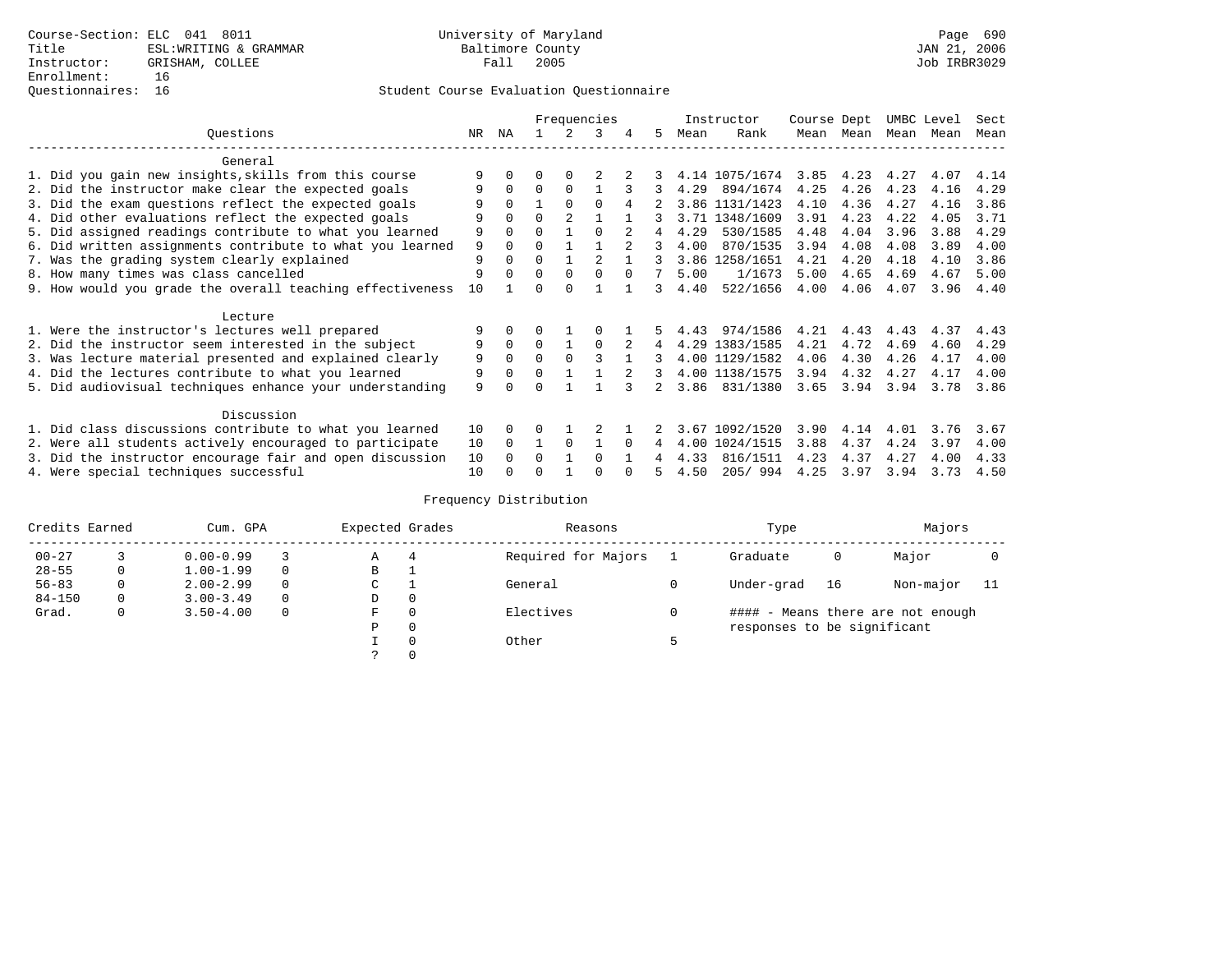|                                                           |          |          |              | Frequencies    |                |               |                | Instructor |                | Course Dept |           | UMBC Level |      | Sect |
|-----------------------------------------------------------|----------|----------|--------------|----------------|----------------|---------------|----------------|------------|----------------|-------------|-----------|------------|------|------|
| Ouestions                                                 | NR       | ΝA       |              | $\mathcal{L}$  | 3              | 4             | 5              | Mean       | Rank           |             | Mean Mean | Mean       | Mean | Mean |
| General                                                   |          |          |              |                |                |               |                |            |                |             |           |            |      |      |
| 1. Did you gain new insights, skills from this course     |          | 0        | 0            | $\Omega$       |                |               |                |            | 4.14 1075/1674 | 3.85        | 4.23      | 4.27       | 4.07 | 4.14 |
| 2. Did the instructor make clear the expected goals       |          | $\Omega$ | $\Omega$     | $\Omega$       |                |               | 3              | 4.29       | 894/1674       | 4.25        | 4.26      | 4.23       | 4.16 | 4.29 |
| 3. Did the exam questions reflect the expected goals      |          | $\Omega$ |              | $\Omega$       | $\Omega$       | 4             |                |            | 3.86 1131/1423 | 4.10        | 4.36      | 4.27       | 4.16 | 3.86 |
| 4. Did other evaluations reflect the expected goals       | 9        | $\Omega$ | U            | $\overline{2}$ |                |               |                |            | 3.71 1348/1609 | 3.91        | 4.23      | 4.22       | 4.05 | 3.71 |
| 5. Did assigned readings contribute to what you learned   | 9        | 0        | 0            |                | $\Omega$       |               | 4              | 4.29       | 530/1585       | 4.48        | 4.04      | 3.96       | 3.88 | 4.29 |
| 6. Did written assignments contribute to what you learned | 9        | $\Omega$ | 0            |                |                | $\mathcal{P}$ | 3              | 4.00       | 870/1535       | 3.94        | 4.08      | 4.08       | 3.89 | 4.00 |
| 7. Was the grading system clearly explained               | 9        |          | 0            |                | $\mathfrak{D}$ |               |                |            | 3.86 1258/1651 | 4.21        | 4.20      | 4.18       | 4.10 | 3.86 |
| 8. How many times was class cancelled                     | 9        |          | $\Omega$     | $\Omega$       | $\Omega$       | $\Omega$      | 7              | 5.00       | 1/1673         | 5.00        | 4.65      | 4.69       | 4.67 | 5.00 |
| 9. How would you grade the overall teaching effectiveness | 10       |          |              | <sup>n</sup>   |                |               | 3              | 4.40       | 522/1656       | 4.00        | 4.06      | 4.07       | 3.96 | 4.40 |
| Lecture                                                   |          |          |              |                |                |               |                |            |                |             |           |            |      |      |
| 1. Were the instructor's lectures well prepared           |          |          |              |                |                |               |                | 4.43       | 974/1586       | 4.21        | 4.43      | 4.43       | 4.37 | 4.43 |
| 2. Did the instructor seem interested in the subject      | 9        | $\Omega$ | $\Omega$     |                | $\Omega$       | 2             | 4              |            | 4.29 1383/1585 | 4.21        | 4.72      | 4.69       | 4.60 | 4.29 |
| 3. Was lecture material presented and explained clearly   | 9        | 0        | 0            | $\Omega$       |                |               | 3              |            | 4.00 1129/1582 | 4.06        | 4.30      | 4.26       | 4.17 | 4.00 |
| 4. Did the lectures contribute to what you learned        | 9        | $\Omega$ | <sup>0</sup> |                |                |               | 3              |            | 4.00 1138/1575 | 3.94        | 4.32      | 4.27       | 4.17 | 4.00 |
| 5. Did audiovisual techniques enhance your understanding  | 9        |          |              |                |                |               | $\overline{2}$ | 3.86       | 831/1380       | 3.65        | 3.94      | 3.94       | 3.78 | 3.86 |
| Discussion                                                |          |          |              |                |                |               |                |            |                |             |           |            |      |      |
| 1. Did class discussions contribute to what you learned   | 10       | 0        | U            |                |                |               |                | 3.67       | 1092/1520      | 3.90        | 4.14      | 4.01       | 3.76 | 3.67 |
| 2. Were all students actively encouraged to participate   |          |          |              | 0              |                | $\Omega$      | 4              | 4.00       | 1024/1515      | 3.88        | 4.37      | 4.24       | 3.97 | 4.00 |
| 3. Did the instructor encourage fair and open discussion  | 10<br>10 |          | U            |                | 0              |               |                | 4.33       | 816/1511       | 4.23        | 4.37      | 4.27       | 4.00 | 4.33 |
| 4. Were special techniques successful                     | 10       |          |              |                |                |               |                | 4.50       | 205/994        | 4.25        | 3.97      | 3.94       | 3.73 | 4.50 |

| Credits Earned | Cum. GPA |               |          | Expected Grades |   | Reasons             | Type                        |    | Majors                            |     |
|----------------|----------|---------------|----------|-----------------|---|---------------------|-----------------------------|----|-----------------------------------|-----|
| $00 - 27$      |          | $0.00 - 0.99$ |          | Α               | 4 | Required for Majors | Graduate                    | 0  | Major                             |     |
| $28 - 55$      | 0        | $1.00 - 1.99$ |          | В               |   |                     |                             |    |                                   |     |
| $56 - 83$      | 0        | $2.00 - 2.99$ | $\Omega$ | $\sim$<br>◡     |   | General             | Under-grad                  | 16 | Non-major                         | -11 |
| $84 - 150$     | 0        | $3.00 - 3.49$ |          | D               | 0 |                     |                             |    |                                   |     |
| Grad.          | 0        | $3.50 - 4.00$ |          | F               | 0 | Electives           |                             |    | #### - Means there are not enough |     |
|                |          |               |          | Ρ               | 0 |                     | responses to be significant |    |                                   |     |
|                |          |               |          |                 | 0 | Other               |                             |    |                                   |     |
|                |          |               |          | $\mathcal{L}$   |   |                     |                             |    |                                   |     |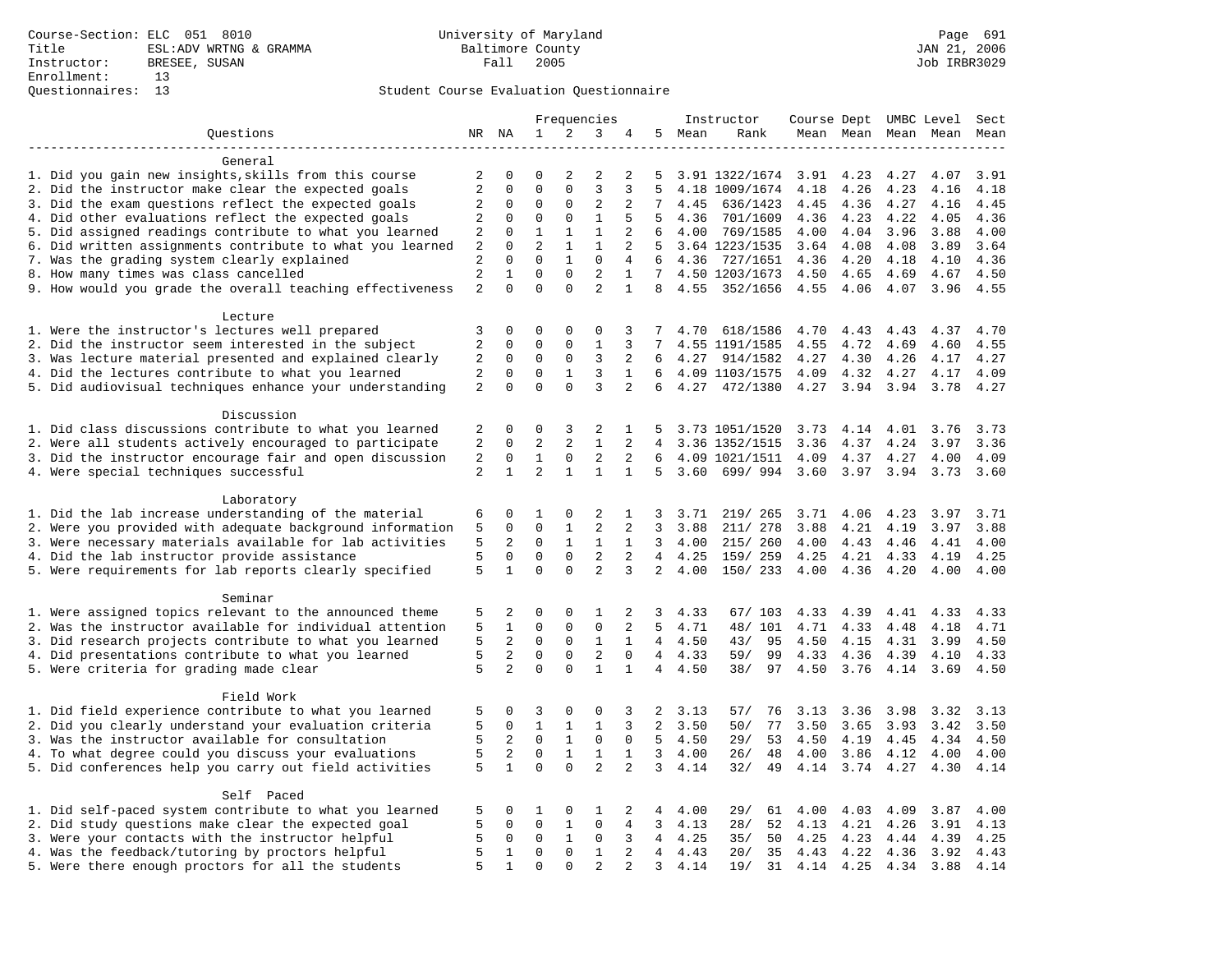|                                                           |                |                |              |                     | Frequencies    |                |                |         | Instructor     | Course Dept UMBC Level |                     |      |      | Sect |
|-----------------------------------------------------------|----------------|----------------|--------------|---------------------|----------------|----------------|----------------|---------|----------------|------------------------|---------------------|------|------|------|
| Questions                                                 |                | NR NA          | 1            | 2                   | 3              | 4              | 5              | Mean    | Rank           |                        | Mean Mean Mean Mean |      |      | Mean |
|                                                           |                |                |              |                     |                |                |                |         |                |                        |                     |      |      |      |
| General                                                   |                |                |              |                     |                |                |                |         |                |                        |                     |      |      |      |
| 1. Did you gain new insights, skills from this course     | 2              | 0              | $\mathbf 0$  | $\overline{c}$      | 2              | 2              | 5              |         | 3.91 1322/1674 | 3.91                   | 4.23                | 4.27 | 4.07 | 3.91 |
| 2. Did the instructor make clear the expected goals       | $\overline{a}$ | $\mathbf 0$    | $\mathbf{0}$ | $\mathbf 0$         | 3              | 3              | 5              |         | 4.18 1009/1674 | 4.18                   | 4.26                | 4.23 | 4.16 | 4.18 |
| 3. Did the exam questions reflect the expected goals      | 2              | $\mathbf 0$    | $\mathbf{0}$ | $\mathbf 0$         | $\overline{2}$ | 2              | 7              | 4.45    | 636/1423       | 4.45                   | 4.36                | 4.27 | 4.16 | 4.45 |
| 4. Did other evaluations reflect the expected goals       | 2              | 0              | $\mathbf{0}$ | $\mathbf 0$         | $\mathbf{1}$   | 5              | 5              | 4.36    | 701/1609       | 4.36                   | 4.23                | 4.22 | 4.05 | 4.36 |
| 5. Did assigned readings contribute to what you learned   | 2              | $\mathbf 0$    | $\mathbf{1}$ | $\mathbf{1}$        | $\mathbf{1}$   | 2              | 6              | 4.00    | 769/1585       | 4.00                   | 4.04                | 3.96 | 3.88 | 4.00 |
| 6. Did written assignments contribute to what you learned | $\sqrt{2}$     | $\mathbf 0$    | 2            | $\mathbf{1}$        | $\mathbf{1}$   | $\overline{2}$ | 5              |         | 3.64 1223/1535 | 3.64                   | 4.08                | 4.08 | 3.89 | 3.64 |
| 7. Was the grading system clearly explained               | $\sqrt{2}$     | $\Omega$       | $\mathbf{0}$ | $\mathbf{1}$        | $\mathbf 0$    | $\overline{4}$ | 6              | 4.36    | 727/1651       | 4.36                   | 4.20                | 4.18 | 4.10 | 4.36 |
| 8. How many times was class cancelled                     | $\overline{2}$ | $\mathbf{1}$   | $\mathbf{0}$ | $\mathbf 0$         | $\overline{2}$ | $\mathbf{1}$   | 7              |         | 4.50 1203/1673 | 4.50                   | 4.65                | 4.69 | 4.67 | 4.50 |
| 9. How would you grade the overall teaching effectiveness | 2              | $\Omega$       | $\Omega$     | $\Omega$            | $\overline{a}$ | $\mathbf{1}$   | 8              |         | 4.55 352/1656  | 4.55                   | 4.06                | 4.07 | 3.96 | 4.55 |
| Lecture                                                   |                |                |              |                     |                |                |                |         |                |                        |                     |      |      |      |
| 1. Were the instructor's lectures well prepared           | 3              | $\mathbf 0$    | $\mathbf 0$  | $\mathbf 0$         | $\mathbf{0}$   | 3              | 7              | 4.70    | 618/1586       | 4.70                   | 4.43                | 4.43 | 4.37 | 4.70 |
| 2. Did the instructor seem interested in the subject      | $\overline{a}$ | 0              | 0            | $\mathbf 0$         | 1              | 3              | 7              |         | 4.55 1191/1585 | 4.55                   | 4.72                | 4.69 | 4.60 | 4.55 |
| 3. Was lecture material presented and explained clearly   | 2              | $\mathbf 0$    | $\mathbf 0$  | 0                   | 3              | 2              | 6              | 4.27    | 914/1582       | 4.27                   | 4.30                | 4.26 | 4.17 | 4.27 |
| 4. Did the lectures contribute to what you learned        | 2              | $\Omega$       | $\mathbf{0}$ | 1                   | 3              | $\mathbf 1$    | 6              |         | 4.09 1103/1575 | 4.09                   | 4.32                | 4.27 | 4.17 | 4.09 |
|                                                           |                | $\mathbf 0$    | $\mathbf 0$  | $\mathbf 0$         | $\overline{3}$ | $\overline{a}$ |                |         |                |                        |                     |      |      |      |
| 5. Did audiovisual techniques enhance your understanding  | $\overline{a}$ |                |              |                     |                |                | 6              | 4.27    | 472/1380       | 4.27                   | 3.94                | 3.94 | 3.78 | 4.27 |
| Discussion                                                |                |                |              |                     |                |                |                |         |                |                        |                     |      |      |      |
| 1. Did class discussions contribute to what you learned   | 2              | 0              | 0            | 3                   | 2              | 1              | 5              |         | 3.73 1051/1520 | 3.73                   | 4.14                | 4.01 | 3.76 | 3.73 |
| 2. Were all students actively encouraged to participate   | 2              | $\mathbf 0$    | 2            | $\overline{a}$      | $\mathbf{1}$   | 2              | $\overline{4}$ |         | 3.36 1352/1515 | 3.36                   | 4.37                | 4.24 | 3.97 | 3.36 |
| 3. Did the instructor encourage fair and open discussion  | 2              | $\mathbf 0$    | $\mathbf 1$  | $\mathsf{O}\xspace$ | $\overline{2}$ | 2              | 6              |         | 4.09 1021/1511 | 4.09                   | 4.37                | 4.27 | 4.00 | 4.09 |
| 4. Were special techniques successful                     | $\overline{a}$ | $\mathbf{1}$   | 2            | $\mathbf{1}$        | $\mathbf{1}$   | $\mathbf{1}$   | 5              | 3.60    | 699/994        | 3.60                   | 3.97                | 3.94 | 3.73 | 3.60 |
|                                                           |                |                |              |                     |                |                |                |         |                |                        |                     |      |      |      |
| Laboratory                                                |                |                |              |                     |                |                |                |         |                |                        |                     |      |      |      |
| 1. Did the lab increase understanding of the material     | 6              | 0              | 1            | 0                   | 2              | 1              | 3              | 3.71    | 219/ 265       | 3.71                   | 4.06                | 4.23 | 3.97 | 3.71 |
| 2. Were you provided with adequate background information | 5              | $\mathbf 0$    | $\mathbf{0}$ | $\mathbf{1}$        | 2              | 2              | 3              | 3.88    | 211/ 278       | 3.88                   | 4.21                | 4.19 | 3.97 | 3.88 |
| 3. Were necessary materials available for lab activities  | 5              | 2              | $\mathbf 0$  | 1                   | 1              | $\mathbf{1}$   | 3              | 4.00    | 215/ 260       | 4.00                   | 4.43                | 4.46 | 4.41 | 4.00 |
| 4. Did the lab instructor provide assistance              | 5              | $\mathbf 0$    | $\mathbf 0$  | $\mathbf 0$         | 2              | 2              | $\overline{4}$ | 4.25    | 159/ 259       | 4.25                   | 4.21                | 4.33 | 4.19 | 4.25 |
| 5. Were requirements for lab reports clearly specified    | 5              | $\mathbf{1}$   | $\Omega$     | $\Omega$            | $\overline{a}$ | 3              | $\overline{2}$ | 4.00    | 150/233        | 4.00                   | 4.36                | 4.20 | 4.00 | 4.00 |
|                                                           |                |                |              |                     |                |                |                |         |                |                        |                     |      |      |      |
| Seminar                                                   |                |                |              |                     |                |                |                |         |                |                        |                     |      |      |      |
| 1. Were assigned topics relevant to the announced theme   | 5              | 2              | 0            | 0                   | 1              | 2              | 3              | 4.33    | 67/ 103        | 4.33                   | 4.39                | 4.41 | 4.33 | 4.33 |
| 2. Was the instructor available for individual attention  | 5              | $\mathbf{1}$   | $\mathbf 0$  | 0                   | $\mathbf{0}$   | 2              | 5              | 4.71    | 48/ 101        | 4.71                   | 4.33                | 4.48 | 4.18 | 4.71 |
| 3. Did research projects contribute to what you learned   | 5              | 2              | $\Omega$     | $\Omega$            | $\mathbf{1}$   | $\mathbf{1}$   |                | 4, 4.50 | 43/<br>95      | 4.50                   | 4.15                | 4.31 | 3.99 | 4.50 |
| 4. Did presentations contribute to what you learned       | 5              | 2              | $\mathsf 0$  | $\mathsf{O}\xspace$ | $\overline{2}$ | $\mathbf 0$    | 4              | 4.33    | 59/<br>99      | 4.33                   | 4.36                | 4.39 | 4.10 | 4.33 |
| 5. Were criteria for grading made clear                   | 5              | $\overline{2}$ | $\mathbf 0$  | $\mathbf 0$         | $\mathbf{1}$   | $\mathbf 1$    | 4              | 4.50    | 38/<br>97      | 4.50                   | 3.76                | 4.14 | 3.69 | 4.50 |
|                                                           |                |                |              |                     |                |                |                |         |                |                        |                     |      |      |      |
| Field Work                                                |                |                |              |                     |                |                |                |         |                |                        |                     |      |      |      |
| 1. Did field experience contribute to what you learned    | 5              | 0              | 3            | $\mathbf 0$         | 0              | 3              | 2              | 3.13    | 57/<br>76      | 3.13                   | 3.36                | 3.98 | 3.32 | 3.13 |
| 2. Did you clearly understand your evaluation criteria    | 5              | $\mathbf 0$    | $\mathbf{1}$ | $\mathbf{1}$        | $\mathbf{1}$   | 3              | 2              | 3.50    | 50/<br>77      | 3.50                   | 3.65                | 3.93 | 3.42 | 3.50 |
| 3. Was the instructor available for consultation          | 5              | 2              | $\mathbf 0$  | $\mathbf{1}$        | $\mathsf 0$    | 0              | 5              | 4.50    | 29/<br>53      | 4.50                   | 4.19                | 4.45 | 4.34 | 4.50 |
| 4. To what degree could you discuss your evaluations      | 5              | 2              | $\mathbf 0$  | $\mathbf{1}$        | $\mathbf{1}$   | $\mathbf{1}$   | $\overline{3}$ | 4.00    | 26/<br>48      | 4.00                   | 3.86                | 4.12 | 4.00 | 4.00 |
| 5. Did conferences help you carry out field activities    | 5              | $\mathbf{1}$   | $\mathbf 0$  | $\mathbf 0$         | $\overline{2}$ | 2              | 3              | 4.14    | 32/<br>49      | 4.14                   | 3.74                | 4.27 | 4.30 | 4.14 |
| Self Paced                                                |                |                |              |                     |                |                |                |         |                |                        |                     |      |      |      |
| 1. Did self-paced system contribute to what you learned   | 5              | 0              | 1            | 0                   | 1              | 2              | 4              | 4.00    | 29/<br>61      | 4.00                   | 4.03                | 4.09 | 3.87 | 4.00 |
| 2. Did study questions make clear the expected goal       | 5              | $\mathbf 0$    | $\mathbf 0$  | 1                   | $\mathbf 0$    | 4              | $\overline{3}$ | 4.13    | 52<br>28/      | 4.13                   | 4.21                | 4.26 | 3.91 | 4.13 |
| 3. Were your contacts with the instructor helpful         | 5              | $\mathbf 0$    | $\mathbf{0}$ | $\mathbf{1}$        | $\mathbf{0}$   | 3              | $\overline{4}$ | 4.25    | 50<br>35/      | 4.25                   | 4.23                | 4.44 | 4.39 | 4.25 |
| 4. Was the feedback/tutoring by proctors helpful          | 5              | $\mathbf{1}$   | $\mathbf 0$  | $\mathsf{O}$        | $\mathbf{1}$   | 2              | $\overline{4}$ | 4.43    | 20/<br>35      | 4.43                   | 4.22                | 4.36 | 3.92 | 4.43 |
| 5. Were there enough proctors for all the students        | 5              | $\mathbf{1}$   | $\Omega$     | $\Omega$            | $\overline{2}$ | $\overline{2}$ | 3              | 4.14    | 19/<br>31      | 4.14 4.25              |                     | 4.34 | 3.88 | 4.14 |
|                                                           |                |                |              |                     |                |                |                |         |                |                        |                     |      |      |      |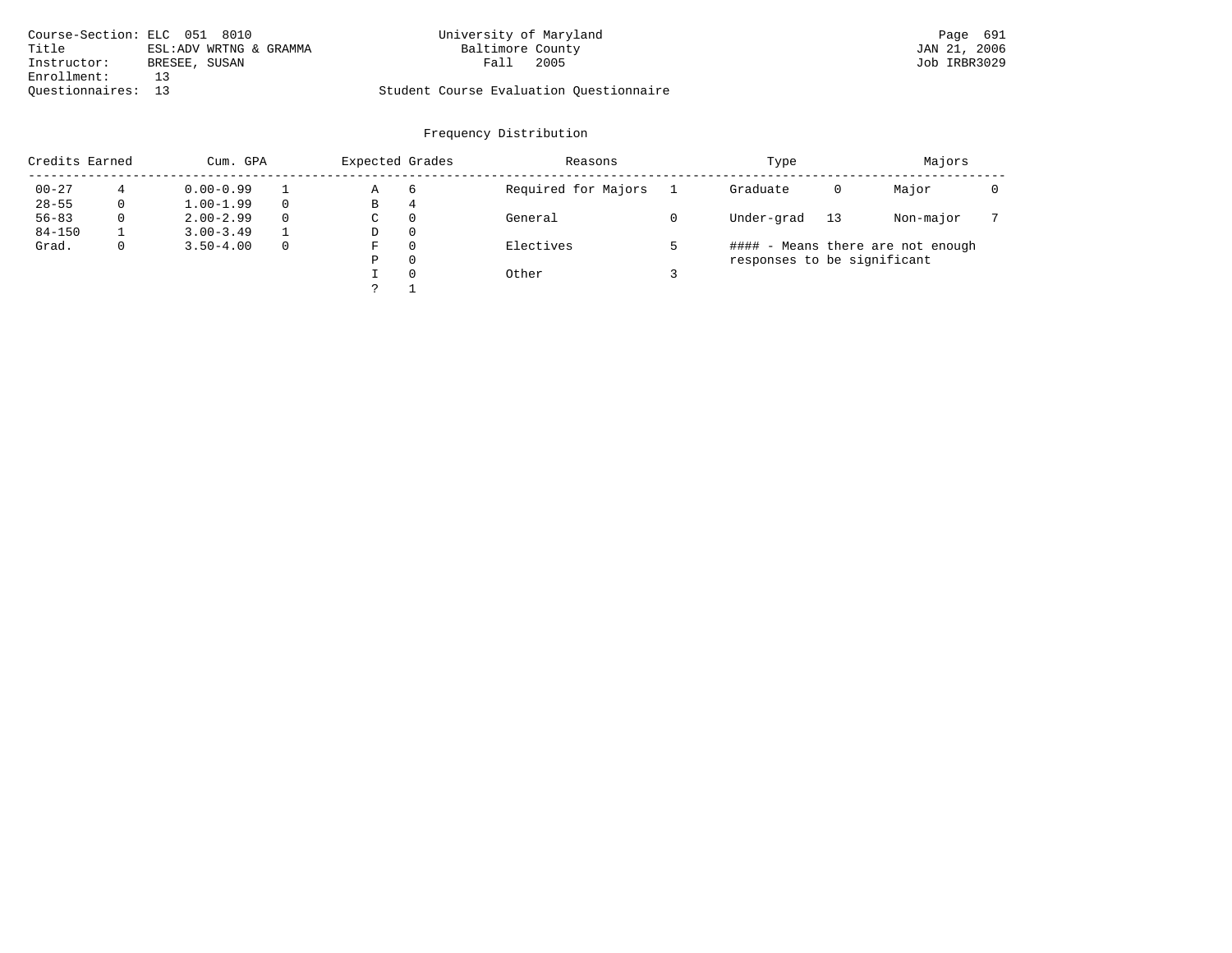|                    | Course-Section: ELC 051 8010 | University of Maryland                  | Page 691     |
|--------------------|------------------------------|-----------------------------------------|--------------|
| Title              | ESL:ADV WRTNG & GRAMMA       | Baltimore County                        | JAN 21, 2006 |
| Instructor:        | BRESEE, SUSAN                | 2005<br>Fall                            | Job IRBR3029 |
| Enrollment:        |                              |                                         |              |
| Ouestionnaires: 13 |                              | Student Course Evaluation Ouestionnaire |              |

| Credits Earned |          | Cum. GPA      |          |   | Expected Grades | Reasons             | Type                        |    | Majors                            |  |
|----------------|----------|---------------|----------|---|-----------------|---------------------|-----------------------------|----|-----------------------------------|--|
| $00 - 27$      |          | $0.00 - 0.99$ |          | Α | 6               | Required for Majors | Graduate                    | 0  | Major                             |  |
| $28 - 55$      | 0        | $1.00 - 1.99$ |          | В | 4               |                     |                             |    |                                   |  |
| $56 - 83$      | $\Omega$ | $2.00 - 2.99$ | $\Omega$ | C | $\Omega$        | General             | Under-grad                  | 13 | Non-major                         |  |
| $84 - 150$     |          | $3.00 - 3.49$ |          | D | $\Omega$        |                     |                             |    |                                   |  |
| Grad.          | 0        | $3.50 - 4.00$ | $\Omega$ | F | $\Omega$        | Electives           |                             |    | #### - Means there are not enough |  |
|                |          |               |          | Ρ | $\Omega$        |                     | responses to be significant |    |                                   |  |
|                |          |               |          |   | $\Omega$        | Other               |                             |    |                                   |  |
|                |          |               |          |   |                 |                     |                             |    |                                   |  |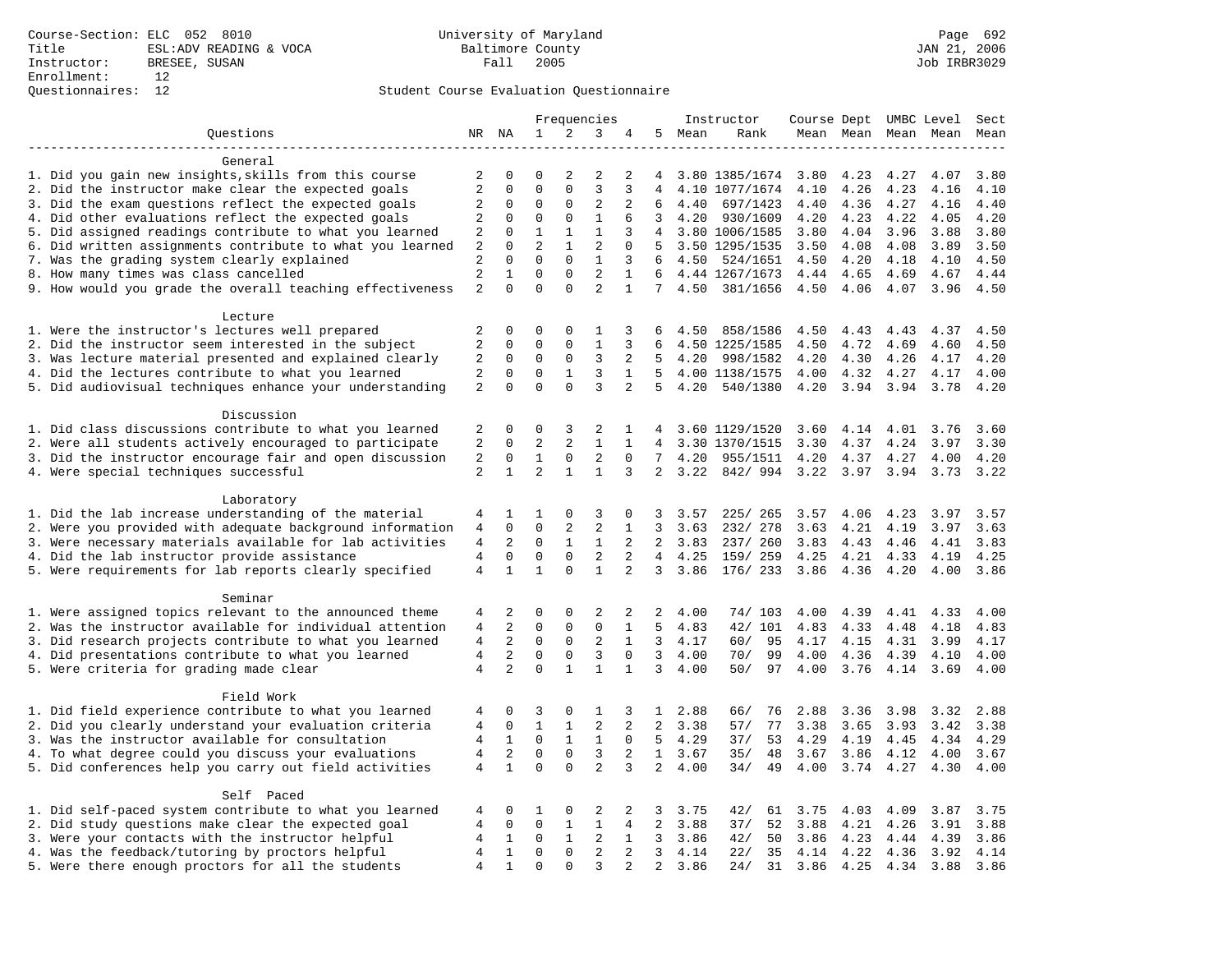### Questionnaires: 12 Student Course Evaluation Questionnaire

|                                                                                                                  |                                  | Frequencies                |                            |                  | Instructor                     | Course Dept UMBC Level |                   |         |                            | Sect         |              |                     |              |              |
|------------------------------------------------------------------------------------------------------------------|----------------------------------|----------------------------|----------------------------|------------------|--------------------------------|------------------------|-------------------|---------|----------------------------|--------------|--------------|---------------------|--------------|--------------|
| Questions                                                                                                        |                                  | NR NA                      | 1                          | 2                | 3                              | 4                      |                   | 5 Mean  | Rank                       |              |              | Mean Mean Mean Mean |              | Mean         |
|                                                                                                                  |                                  |                            |                            |                  |                                |                        |                   |         |                            |              |              |                     |              |              |
| General                                                                                                          |                                  |                            |                            |                  |                                |                        |                   |         |                            |              |              |                     |              |              |
| 1. Did you gain new insights, skills from this course                                                            | 2                                | $\mathbf 0$                | 0                          | $\overline{2}$   | 2                              | 2                      | 4                 |         | 3.80 1385/1674             | 3.80         | 4.23         | 4.27                | 4.07         | 3.80         |
| 2. Did the instructor make clear the expected goals                                                              | $\overline{2}$                   | $\mathbf 0$                | $\mathbf 0$                | $\mathbf 0$      | 3                              | 3                      | 4                 |         | 4.10 1077/1674             | 4.10         | 4.26         | 4.23                | 4.16         | 4.10         |
| 3. Did the exam questions reflect the expected goals                                                             | $\overline{c}$<br>$\overline{2}$ | $\mathbf 0$                | $\mathbf 0$<br>$\mathbf 0$ | 0<br>$\mathbf 0$ | $\overline{2}$<br>$\mathbf{1}$ | 2                      | 6<br>$\mathbf{3}$ | 4.40    | 697/1423                   | 4.40         | 4.36         | 4.27                | 4.16         | 4.40<br>4.20 |
| 4. Did other evaluations reflect the expected goals<br>5. Did assigned readings contribute to what you learned   | 2                                | $\mathbf 0$<br>$\mathbf 0$ | $\mathbf{1}$               | $\mathbf{1}$     | $\mathbf{1}$                   | 6<br>3                 | 4                 | 4.20    | 930/1609<br>3.80 1006/1585 | 4.20<br>3.80 | 4.23<br>4.04 | 4.22<br>3.96        | 4.05<br>3.88 | 3.80         |
| 6. Did written assignments contribute to what you learned                                                        | $\overline{2}$                   | $\mathbf 0$                | $\overline{a}$             | $\mathbf{1}$     | $\overline{2}$                 | $\Omega$               | 5                 |         | 3.50 1295/1535             | 3.50         | 4.08         | 4.08                | 3.89         | 3.50         |
| 7. Was the grading system clearly explained                                                                      | $\overline{c}$                   | $\Omega$                   | $\mathbf 0$                | $\mathbf 0$      | $\mathbf{1}$                   | 3                      | 6                 |         | 4.50 524/1651              | 4.50         | 4.20         | 4.18                | 4.10         | 4.50         |
| 8. How many times was class cancelled                                                                            | $\overline{2}$                   | 1                          | $\mathbf 0$                | $\mathbf 0$      | $\overline{2}$                 | $\mathbf{1}$           | 6                 |         | 4.44 1267/1673             | 4.44         | 4.65         | 4.69                | 4.67         | 4.44         |
| 9. How would you grade the overall teaching effectiveness                                                        | $\overline{2}$                   | $\Omega$                   | $\Omega$                   | $\Omega$         | $\overline{a}$                 | $\mathbf{1}$           | $7^{\circ}$       | 4.50    | 381/1656                   | 4.50         | 4.06         | 4.07                | 3.96         | 4.50         |
|                                                                                                                  |                                  |                            |                            |                  |                                |                        |                   |         |                            |              |              |                     |              |              |
| Lecture                                                                                                          |                                  |                            |                            |                  |                                |                        |                   |         |                            |              |              |                     |              |              |
| 1. Were the instructor's lectures well prepared                                                                  | $\overline{2}$                   | $\mathbf 0$                | $\mathbf 0$                | $\mathbf{0}$     | 1                              | 3                      | 6                 | 4.50    | 858/1586                   | 4.50         | 4.43         | 4.43                | 4.37         | 4.50         |
| 2. Did the instructor seem interested in the subject                                                             | $\overline{2}$                   | $\mathbf 0$                | 0                          | $\mathbf 0$      | 1                              | 3                      | 6                 |         | 4.50 1225/1585             | 4.50         | 4.72         | 4.69                | 4.60         | 4.50         |
| 3. Was lecture material presented and explained clearly                                                          | 2                                | $\mathbf 0$                | $\mathbf 0$                | $\mathbf 0$      | 3                              | 2                      | 5                 | 4.20    | 998/1582                   | 4.20         | 4.30         | 4.26                | 4.17         | 4.20         |
| 4. Did the lectures contribute to what you learned                                                               | 2                                | $\Omega$                   | $\mathbf 0$                | 1                | 3                              | $\mathbf{1}$           | $5^{\circ}$       |         | 4.00 1138/1575             | 4.00         | 4.32         | 4.27                | 4.17         | 4.00         |
| 5. Did audiovisual techniques enhance your understanding                                                         | 2                                | $\mathbf 0$                | $\mathbf 0$                | $\mathbf 0$      | $\overline{3}$                 | 2                      | 5                 | 4.20    | 540/1380                   | 4.20         | 3.94         | 3.94                | 3.78         | 4.20         |
|                                                                                                                  |                                  |                            |                            |                  |                                |                        |                   |         |                            |              |              |                     |              |              |
| Discussion                                                                                                       |                                  |                            |                            |                  |                                |                        |                   |         |                            |              |              |                     |              |              |
| 1. Did class discussions contribute to what you learned                                                          | 2                                | $\mathbf 0$                | 0                          | 3                | 2                              | 1                      | 4                 |         | 3.60 1129/1520             | 3.60         | 4.14         | 4.01                | 3.76         | 3.60         |
| 2. Were all students actively encouraged to participate                                                          | 2                                | $\mathbf 0$                | 2                          | 2                | $\mathbf{1}$                   | $\mathbf{1}$           | $\overline{4}$    |         | 3.30 1370/1515             | 3.30         | 4.37         | 4.24                | 3.97         | 3.30         |
| 3. Did the instructor encourage fair and open discussion                                                         | 2                                | 0                          | $\mathbf{1}$               | $\mathsf 0$      | $\overline{2}$                 | 0                      | $7\phantom{.0}$   | 4.20    | 955/1511                   | 4.20         | 4.37         | 4.27                | 4.00         | 4.20         |
| 4. Were special techniques successful                                                                            | 2                                | $\mathbf{1}$               | $\overline{a}$             | $\mathbf{1}$     | $\mathbf{1}$                   | 3                      | $\overline{a}$    | 3.22    | 842/994                    | 3.22         | 3.97         | 3.94                | 3.73         | 3.22         |
| Laboratory                                                                                                       |                                  |                            |                            |                  |                                |                        |                   |         |                            |              |              |                     |              |              |
| 1. Did the lab increase understanding of the material                                                            | 4                                | 1                          | 1                          | 0                | 3                              | 0                      | 3                 | 3.57    | 225/ 265                   | 3.57         | 4.06         | 4.23                | 3.97         | 3.57         |
| 2. Were you provided with adequate background information                                                        | $\overline{4}$                   | $\mathbf 0$                | $\mathbf 0$                | 2                | 2                              | 1                      | 3                 | 3.63    | 232/ 278                   | 3.63         | 4.21         | 4.19                | 3.97         | 3.63         |
| 3. Were necessary materials available for lab activities                                                         | 4                                | 2                          | 0                          | 1                | 1                              | 2                      | 2                 | 3.83    | 237/ 260                   | 3.83         | 4.43         | 4.46                | 4.41         | 3.83         |
| 4. Did the lab instructor provide assistance                                                                     | $\overline{4}$                   | $\mathbf 0$                | $\mathbf 0$                | $\mathbf 0$      | $\overline{2}$                 | 2                      | $\overline{4}$    | 4.25    | 159/ 259                   | 4.25         | 4.21         | 4.33                | 4.19         | 4.25         |
| 5. Were requirements for lab reports clearly specified                                                           | $\overline{4}$                   | $\mathbf{1}$               | $\mathbf{1}$               | $\Omega$         | $\mathbf{1}$                   | $\overline{2}$         | 3                 | 3.86    | 176/233                    | 3.86         | 4.36         | 4.20                | 4.00         | 3.86         |
|                                                                                                                  |                                  |                            |                            |                  |                                |                        |                   |         |                            |              |              |                     |              |              |
| Seminar                                                                                                          |                                  |                            |                            |                  |                                |                        |                   |         |                            |              |              |                     |              |              |
| 1. Were assigned topics relevant to the announced theme                                                          | 4                                | 2                          | 0                          | 0                | 2                              | 2                      | 2                 | 4.00    | 74/ 103                    | 4.00         | 4.39         | 4.41                | 4.33         | 4.00         |
| 2. Was the instructor available for individual attention                                                         | 4                                | 2                          | $\mathbf 0$                | $\mathbf 0$      | $\mathbf{0}$                   | $\mathbf{1}$           | 5                 | 4.83    | 42/ 101                    | 4.83         | 4.33         | 4.48                | 4.18         | 4.83         |
| 3. Did research projects contribute to what you learned                                                          | $\overline{4}$                   | 2                          | $\mathbf 0$                | $\mathbf 0$      | 2                              | $\mathbf{1}$           | $\overline{3}$    | 4.17    | $60/$<br>95                | 4.17         | 4.15         | 4.31                | 3.99         | 4.17         |
| 4. Did presentations contribute to what you learned                                                              | $\overline{4}$                   | 2                          | $\mathbf 0$                | $\mathsf 0$      | 3                              | $\mathbf 0$            | $\overline{3}$    | 4.00    | 99<br>70/                  | 4.00         | 4.36         | 4.39                | 4.10         | 4.00         |
| 5. Were criteria for grading made clear                                                                          | 4                                | $\overline{a}$             | $\mathbf 0$                | $\mathbf{1}$     | $\mathbf{1}$                   | 1                      | 3                 | 4.00    | 50/<br>97                  | 4.00         | 3.76         | 4.14                | 3.69         | 4.00         |
|                                                                                                                  |                                  |                            |                            |                  |                                |                        |                   |         |                            |              |              |                     |              |              |
| Field Work                                                                                                       |                                  | $\mathbf 0$                | 3                          | $\mathbf 0$      | 1                              | 3                      |                   | 2.88    | 66/<br>76                  | 2.88         | 3.36         | 3.98                | 3.32         | 2.88         |
| 1. Did field experience contribute to what you learned<br>2. Did you clearly understand your evaluation criteria | 4<br>$\overline{4}$              | $\mathbf 0$                | $\mathbf{1}$               | $\mathbf{1}$     | $\overline{2}$                 | 2                      | $\mathbf{1}$<br>2 | 3.38    | 57/<br>77                  | 3.38         | 3.65         | 3.93                | 3.42         | 3.38         |
| 3. Was the instructor available for consultation                                                                 | 4                                | 1                          | $\mathbf 0$                | 1                | 1                              | $\mathbf 0$            | 5                 | 4.29    | 37/<br>53                  | 4.29         | 4.19         | 4.45                | 4.34         | 4.29         |
| 4. To what degree could you discuss your evaluations                                                             | 4                                | 2                          | $\mathbf 0$                | $\mathbf 0$      | 3                              | 2                      |                   | 1, 3.67 | 35/<br>48                  | 3.67         | 3.86         | 4.12                | 4.00         | 3.67         |
| 5. Did conferences help you carry out field activities                                                           | 4                                | $\mathbf{1}$               | $\mathbf 0$                | $\Omega$         | $\overline{2}$                 | 3                      | $\overline{2}$    | 4.00    | 49<br>34/                  | 4.00         | 3.74         | 4.27                | 4.30         | 4.00         |
|                                                                                                                  |                                  |                            |                            |                  |                                |                        |                   |         |                            |              |              |                     |              |              |
| Self Paced                                                                                                       |                                  |                            |                            |                  |                                |                        |                   |         |                            |              |              |                     |              |              |
| 1. Did self-paced system contribute to what you learned                                                          | 4                                | 0                          | 1                          | 0                | 2                              | 2                      | 3                 | 3.75    | 42/<br>61                  | 3.75         | 4.03         | 4.09                | 3.87         | 3.75         |
| 2. Did study questions make clear the expected goal                                                              | 4                                | $\mathbf 0$                | $\mathbf 0$                | $\mathbf{1}$     | $\mathbf{1}$                   | $\overline{4}$         | 2                 | 3.88    | 52<br>37/                  | 3.88         | 4.21         | 4.26                | 3.91         | 3.88         |
| 3. Were your contacts with the instructor helpful                                                                | $\,4$                            | $\mathbf{1}$               | $\mathbf 0$                | $\mathbf{1}$     | 2                              | $\mathbf{1}$           | $\overline{3}$    | 3.86    | 50<br>42/                  | 3.86         | 4.23         | 4.44                | 4.39         | 3.86         |
| 4. Was the feedback/tutoring by proctors helpful                                                                 | $\sqrt{4}$                       | $\mathbf{1}$               | $\mathbf 0$                | $\mathbf 0$      | 2                              | $\overline{a}$         | $\overline{3}$    | 4.14    | 22/<br>35                  | 4.14         | 4.22         | 4.36                | 3.92         | 4.14         |
| 5. Were there enough proctors for all the students                                                               | $\overline{4}$                   | $\mathbf{1}$               | $\Omega$                   | $\Omega$         | $\overline{3}$                 | 2                      | $\overline{a}$    | 3.86    | 31<br>24/                  | 3.86 4.25    |              | 4.34                | 3.88         | 3.86         |
|                                                                                                                  |                                  |                            |                            |                  |                                |                        |                   |         |                            |              |              |                     |              |              |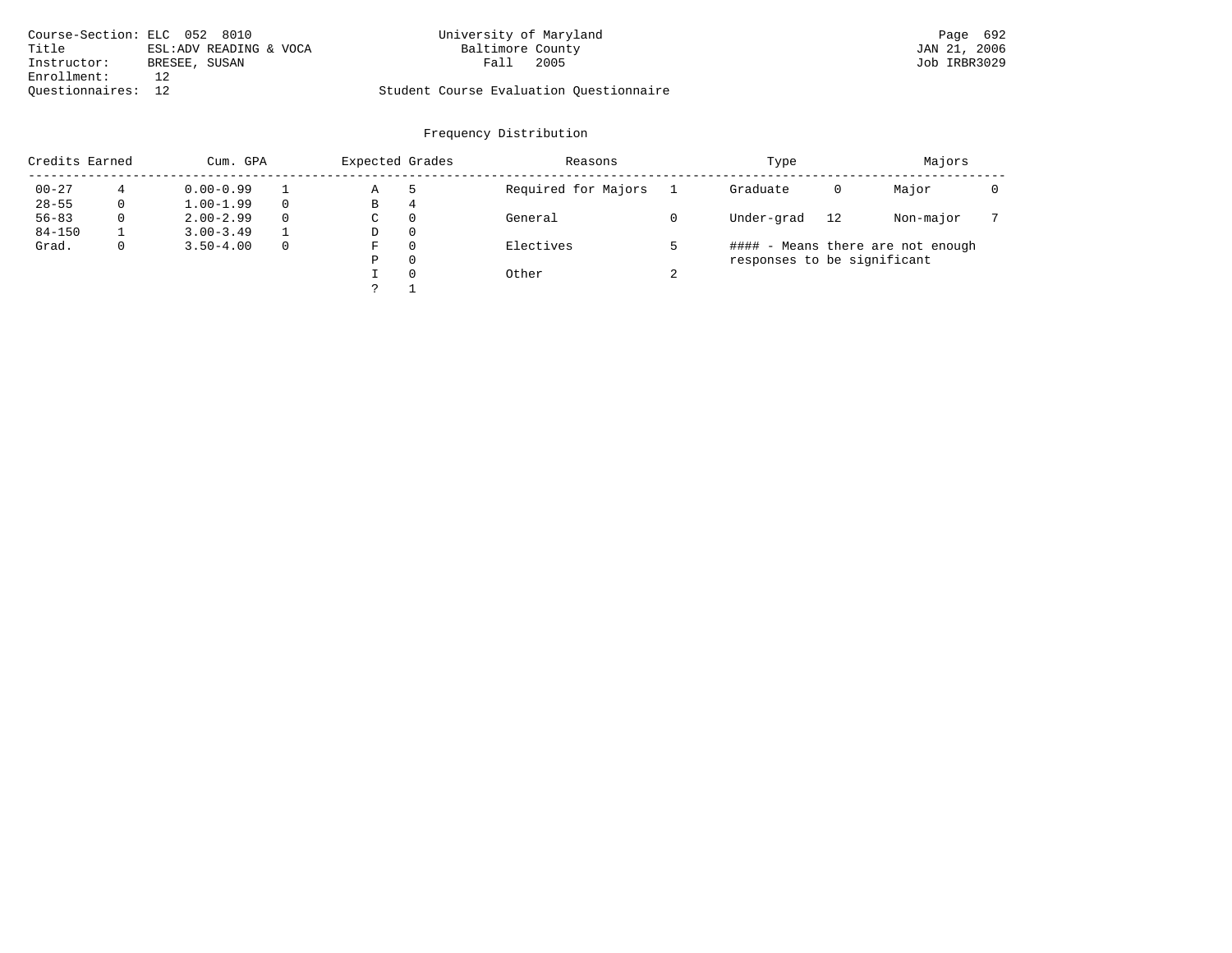|                    | Course-Section: ELC 052 8010 | University of Maryland                  | Page 692     |
|--------------------|------------------------------|-----------------------------------------|--------------|
| Title              | ESL:ADV READING & VOCA       | Baltimore County                        | JAN 21, 2006 |
| Instructor:        | BRESEE, SUSAN                | 2005<br>Fall                            | Job IRBR3029 |
| Enrollment:        |                              |                                         |              |
| Ouestionnaires: 12 |                              | Student Course Evaluation Questionnaire |              |

| Credits Earned | Cum. GPA |               |   | Expected Grades |          | Reasons             |        | Type                        |    | Majors                            |  |
|----------------|----------|---------------|---|-----------------|----------|---------------------|--------|-----------------------------|----|-----------------------------------|--|
| $00 - 27$      |          | $0.00 - 0.99$ |   | Α               | 5        | Required for Majors |        | Graduate                    | 0  | Major                             |  |
| $28 - 55$      | 0        | $1.00 - 1.99$ |   | В               | 4        |                     |        |                             |    |                                   |  |
| $56 - 83$      | 0        | $2.00 - 2.99$ | 0 | $\sim$<br>◡     | 0        | General             |        | Under-grad                  | 12 | Non-major                         |  |
| $84 - 150$     |          | $3.00 - 3.49$ |   | D               | 0        |                     |        |                             |    |                                   |  |
| Grad.          | 0        | $3.50 - 4.00$ |   | F               |          | Electives           |        |                             |    | #### - Means there are not enough |  |
|                |          |               |   | Ρ               | 0        |                     |        | responses to be significant |    |                                   |  |
|                |          |               |   |                 | $\Omega$ | Other               | $\sim$ |                             |    |                                   |  |
|                |          |               |   | C               |          |                     |        |                             |    |                                   |  |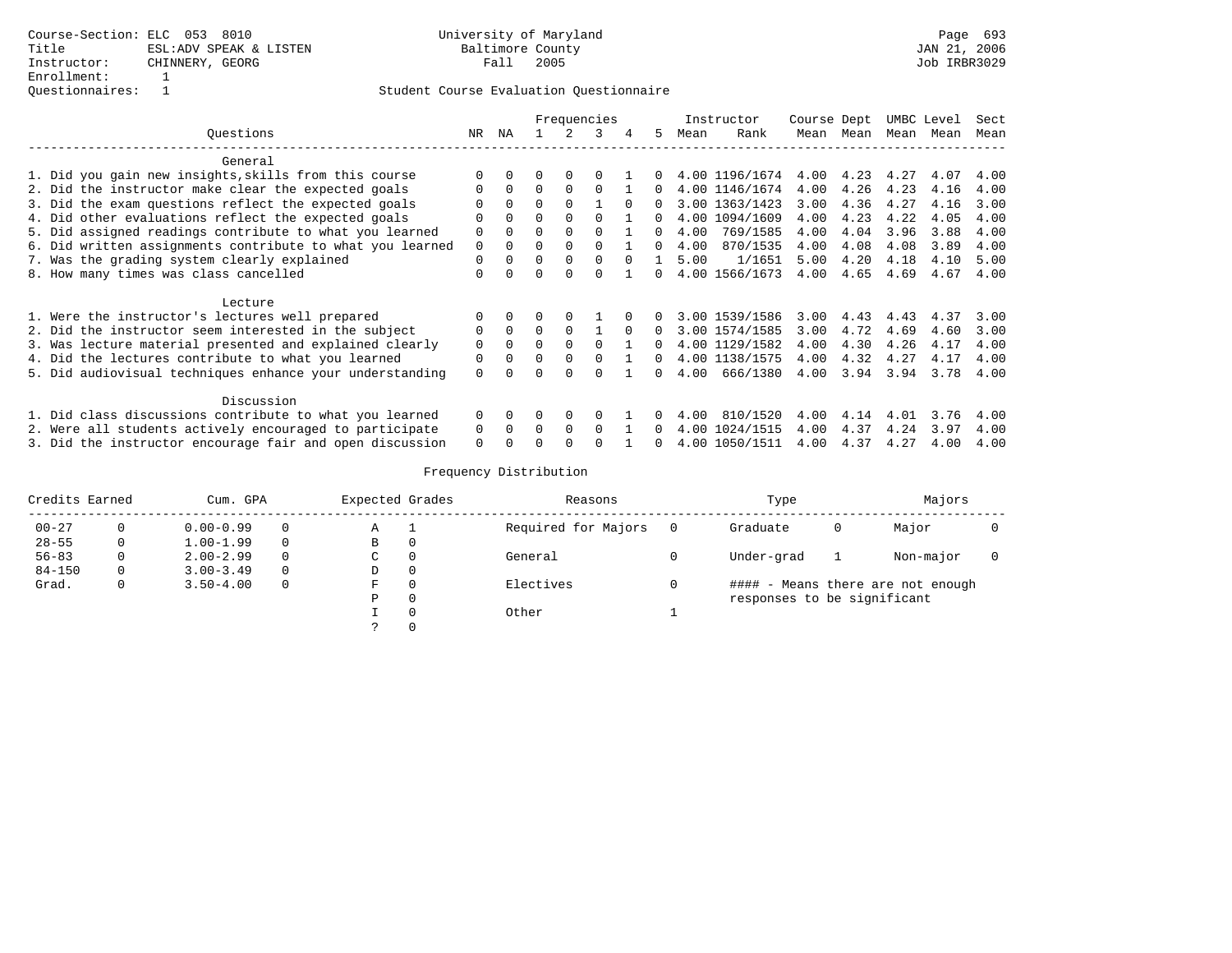|                                                           | Frequencies |          |              |          |          | Instructor |              | Course Dept |                | UMBC Level |      | Sect |      |      |
|-----------------------------------------------------------|-------------|----------|--------------|----------|----------|------------|--------------|-------------|----------------|------------|------|------|------|------|
| Ouestions                                                 | NR          | ΝA       |              |          | 3        |            | 5.           | Mean        | Rank           | Mean       | Mean | Mean | Mean | Mean |
| General                                                   |             |          |              |          |          |            |              |             |                |            |      |      |      |      |
| 1. Did you gain new insights, skills from this course     |             |          |              |          |          |            |              |             | 4.00 1196/1674 | 4.00       | 4.23 | 4.27 | 4.07 | 4.00 |
| 2. Did the instructor make clear the expected goals       | $\Omega$    | $\Omega$ | $\Omega$     | $\Omega$ | $\Omega$ |            | 0            |             | 4.00 1146/1674 | 4.00       | 4.26 | 4.23 | 4.16 | 4.00 |
| 3. Did the exam questions reflect the expected goals      | ∩           | $\cap$   | $\Omega$     | $\cap$   |          | $\Omega$   | O.           |             | 3.00 1363/1423 | 3.00       | 4.36 | 4.27 | 4.16 | 3.00 |
| 4. Did other evaluations reflect the expected goals       | $\Omega$    | $\Omega$ | $\Omega$     | $\Omega$ | $\cap$   |            | O.           |             | 4.00 1094/1609 | 4.00       | 4.23 | 4.22 | 4.05 | 4.00 |
| 5. Did assigned readings contribute to what you learned   | $\Omega$    |          | O            | $\Omega$ | ∩        |            | 0            | 4.00        | 769/1585       | 4.00       | 4.04 | 3.96 | 3.88 | 4.00 |
| 6. Did written assignments contribute to what you learned | 0           |          | <sup>0</sup> |          | $\Omega$ |            | O.           | 4.00        | 870/1535       | 4.00       | 4.08 | 4.08 | 3.89 | 4.00 |
| 7. Was the grading system clearly explained               | $\Omega$    |          | $\Omega$     | $\Omega$ | $\Omega$ |            |              | 5.00        | 1/1651         | 5.00       | 4.20 | 4.18 | 4.10 | 5.00 |
| 8. How many times was class cancelled                     | $\Omega$    |          | $\Omega$     |          |          |            | <sup>n</sup> |             | 4.00 1566/1673 | 4.00       | 4.65 | 4.69 | 4.67 | 4.00 |
| Lecture                                                   |             |          |              |          |          |            |              |             |                |            |      |      |      |      |
| 1. Were the instructor's lectures well prepared           |             |          |              |          |          |            |              |             | 3.00 1539/1586 | 3.00       | 4.43 | 4.43 | 4.37 | 3.00 |
| 2. Did the instructor seem interested in the subject      | 0           | $\Omega$ | $\Omega$     |          |          | $\Omega$   | 0            |             | 3.00 1574/1585 | 3.00       | 4.72 | 4.69 | 4.60 | 3.00 |
| 3. Was lecture material presented and explained clearly   | $\Omega$    | 0        | $\Omega$     |          | $\Omega$ |            | O.           |             | 4.00 1129/1582 | 4.00       | 4.30 | 4.26 | 4.17 | 4.00 |
| 4. Did the lectures contribute to what you learned        | $\Omega$    |          | $\Omega$     | $\Omega$ | $\Omega$ |            | <sup>n</sup> |             | 4.00 1138/1575 | 4.00       | 4.32 | 4.27 | 4.17 | 4.00 |
| 5. Did audiovisual techniques enhance your understanding  | $\Omega$    |          | U            |          | ∩        |            | O.           | 4.00        | 666/1380       | 4.00       | 3.94 | 3.94 | 3.78 | 4.00 |
| Discussion                                                |             |          |              |          |          |            |              |             |                |            |      |      |      |      |
| 1. Did class discussions contribute to what you learned   |             | $\Omega$ | 0            | 0        | $\Omega$ |            |              | 4.00        | 810/1520       | 4.00       | 4.14 | 4.01 | 3.76 | 4.00 |
| 2. Were all students actively encouraged to participate   | 0<br>0      | $\Omega$ | $\Omega$     | $\Omega$ | $\Omega$ |            | 0            |             | 4.00 1024/1515 | 4.00       | 4.37 | 4.24 | 3.97 | 4.00 |
| 3. Did the instructor encourage fair and open discussion  |             |          |              |          |          |            |              |             | 4.00 1050/1511 | 4.00       | 4.37 | 4.27 | 4.00 | 4.00 |

| Credits Earned | Cum. GPA |               |          | Expected Grades |          | Reasons             | Type                        |   | Majors                            |  |
|----------------|----------|---------------|----------|-----------------|----------|---------------------|-----------------------------|---|-----------------------------------|--|
| $00 - 27$      |          | $0.00 - 0.99$ | $\Omega$ | Α               | - 1      | Required for Majors | Graduate                    | 0 | Major                             |  |
| $28 - 55$      | $\Omega$ | $1.00 - 1.99$ | $\Omega$ | В               | 0        |                     |                             |   |                                   |  |
| $56 - 83$      | 0        | $2.00 - 2.99$ | $\Omega$ | C               | 0        | General             | Under-grad                  |   | Non-major                         |  |
| $84 - 150$     | $\Omega$ | $3.00 - 3.49$ | $\Omega$ | D               | 0        |                     |                             |   |                                   |  |
| Grad.          | 0        | $3.50 - 4.00$ | $\Omega$ | F               | 0        | Electives           |                             |   | #### - Means there are not enough |  |
|                |          |               |          | Ρ               | 0        |                     | responses to be significant |   |                                   |  |
|                |          |               |          |                 | $\Omega$ | Other               |                             |   |                                   |  |
|                |          |               |          |                 | $\Omega$ |                     |                             |   |                                   |  |